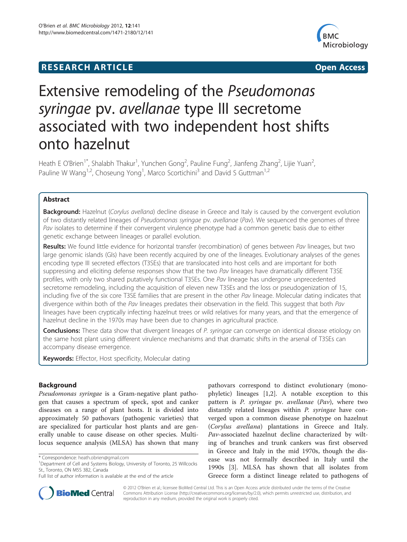## **RESEARCH ARTICLE CONSUMING A RESEARCH ARTICLE**



# Extensive remodeling of the Pseudomonas syringae pv. avellanae type III secretome associated with two independent host shifts onto hazelnut

Heath E O'Brien<sup>1\*</sup>, Shalabh Thakur<sup>1</sup>, Yunchen Gong<sup>2</sup>, Pauline Fung<sup>2</sup>, Jianfeng Zhang<sup>2</sup>, Lijie Yuan<sup>2</sup> , Pauline W Wang<sup>1,2</sup>, Choseung Yong<sup>1</sup>, Marco Scortichini<sup>3</sup> and David S Guttman<sup>1,2</sup>

## Abstract

Background: Hazelnut (Corylus avellana) decline disease in Greece and Italy is caused by the convergent evolution of two distantly related lineages of Pseudomonas syringae pv. avellanae (Pav). We sequenced the genomes of three Pav isolates to determine if their convergent virulence phenotype had a common genetic basis due to either genetic exchange between lineages or parallel evolution.

Results: We found little evidence for horizontal transfer (recombination) of genes between Pav lineages, but two large genomic islands (GIs) have been recently acquired by one of the lineages. Evolutionary analyses of the genes encoding type III secreted effectors (T3SEs) that are translocated into host cells and are important for both suppressing and eliciting defense responses show that the two Pav lineages have dramatically different T3SE profiles, with only two shared putatively functional T3SEs. One Pav lineage has undergone unprecedented secretome remodeling, including the acquisition of eleven new T3SEs and the loss or pseudogenization of 15, including five of the six core T3SE families that are present in the other Pav lineage. Molecular dating indicates that divergence within both of the Pav lineages predates their observation in the field. This suggest that both Pav lineages have been cryptically infecting hazelnut trees or wild relatives for many years, and that the emergence of hazelnut decline in the 1970s may have been due to changes in agricultural practice.

Conclusions: These data show that divergent lineages of P. syringae can converge on identical disease etiology on the same host plant using different virulence mechanisms and that dramatic shifts in the arsenal of T3SEs can accompany disease emergence.

Keywords: Effector, Host specificity, Molecular dating

## Background

Pseudomonas syringae is a Gram-negative plant pathogen that causes a spectrum of speck, spot and canker diseases on a range of plant hosts. It is divided into approximately 50 pathovars (pathogenic varieties) that are specialized for particular host plants and are generally unable to cause disease on other species. Multilocus sequence analysis (MLSA) has shown that many pathovars correspond to distinct evolutionary (monophyletic) lineages [\[1](#page-9-0),[2](#page-9-0)]. A notable exception to this pattern is P. syringae pv. avellanae (Pav), where two distantly related lineages within P. syringae have converged upon a common disease phenotype on hazelnut (Corylus avellana) plantations in Greece and Italy. Pav-associated hazelnut decline characterized by wilting of branches and trunk cankers was first observed in Greece and Italy in the mid 1970s, though the disease was not formally described in Italy until the 1990s [\[3](#page-9-0)]. MLSA has shown that all isolates from Greece form a distinct lineage related to pathogens of



© 2012 O'Brien et al.; licensee BioMed Central Ltd. This is an Open Access article distributed under the terms of the Creative Commons Attribution License [\(http://creativecommons.org/licenses/by/2.0\)](http://creativecommons.org/licenses/by/2.0), which permits unrestricted use, distribution, and reproduction in any medium, provided the original work is properly cited.

<sup>\*</sup> Correspondence: [heath.obrien@gmail.com](mailto:heath.obrien@gmail.com) <sup>1</sup>

<sup>&</sup>lt;sup>1</sup>Department of Cell and Systems Biology, University of Toronto, 25 Willcocks St., Toronto, ON M5S 3B2, Canada

Full list of author information is available at the end of the article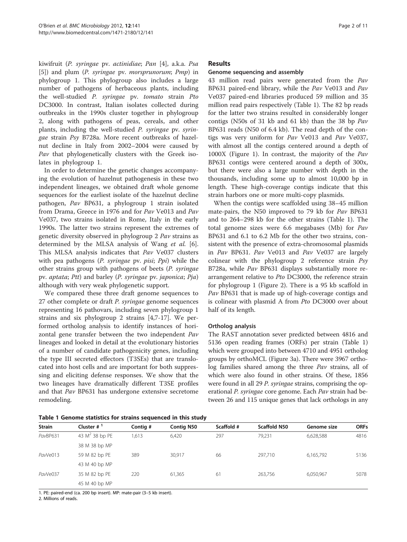kiwifruit (P. syringae pv. actinidiae; Pan [[4](#page-9-0)], a.k.a. Psa [[5\]](#page-9-0)) and plum (P. syringae pv. morsprunorum; Pmp) in phylogroup 1. This phylogroup also includes a large number of pathogens of herbaceous plants, including the well-studied P. syringae pv. tomato strain Pto DC3000. In contrast, Italian isolates collected during outbreaks in the 1990s cluster together in phylogroup 2, along with pathogens of peas, cereals, and other plants, including the well-studied P. syringae pv. syringae strain Psy B728a. More recent outbreaks of hazelnut decline in Italy from 2002–2004 were caused by Pav that phylogenetically clusters with the Greek isolates in phylogroup 1.

In order to determine the genetic changes accompanying the evolution of hazelnut pathogenesis in these two independent lineages, we obtained draft whole genome sequences for the earliest isolate of the hazelnut decline pathogen, Pav BP631, a phylogroup 1 strain isolated from Drama, Greece in 1976 and for Pav Ve013 and Pav Ve037, two strains isolated in Rome, Italy in the early 1990s. The latter two strains represent the extremes of genetic diversity observed in phylogroup 2 Pav strains as determined by the MLSA analysis of Wang et al. [\[6](#page-9-0)]. This MLSA analysis indicates that Pav Ve037 clusters with pea pathogens (P. syringae pv. pisi; Ppi) while the other strains group with pathogens of beets (P. syringae pv. aptata; Ptt) and barley (P. syringae pv. japonica; Pja) although with very weak phylogenetic support.

We compared these three draft genome sequences to 27 other complete or draft *P. syringae* genome sequences representing 16 pathovars, including seven phylogroup 1 strains and six phylogroup 2 strains [\[4,7](#page-9-0)-[17\]](#page-9-0). We performed ortholog analysis to identify instances of horizontal gene transfer between the two independent Pav lineages and looked in detail at the evolutionary histories of a number of candidate pathogenicity genes, including the type III secreted effectors (T3SEs) that are translocated into host cells and are important for both suppressing and eliciting defense responses. We show that the two lineages have dramatically different T3SE profiles and that Pav BP631 has undergone extensive secretome remodeling.

### Results

#### Genome sequencing and assembly

43 million read pairs were generated from the Pav BP631 paired-end library, while the Pav Ve013 and Pav Ve037 paired-end libraries produced 59 million and 35 million read pairs respectively (Table 1). The 82 bp reads for the latter two strains resulted in considerably longer contigs (N50s of 31 kb and 61 kb) than the 38 bp Pav BP631 reads (N50 of 6.4 kb). The read depth of the contigs was very uniform for Pav Ve013 and Pav Ve037, with almost all the contigs centered around a depth of 1000X (Figure [1](#page-2-0)). In contrast, the majority of the Pav BP631 contigs were centered around a depth of 300x, but there were also a large number with depth in the thousands, including some up to almost 10,000 bp in length. These high-coverage contigs indicate that this strain harbors one or more multi-copy plasmids.

When the contigs were scaffolded using 38–45 million mate-pairs, the N50 improved to 79 kb for Pav BP631 and to 264–298 kb for the other strains (Table 1). The total genome sizes were 6.6 megabases (Mb) for Pav BP631 and 6.1 to 6.2 Mb for the other two strains, consistent with the presence of extra-chromosomal plasmids in Pav BP631. Pav Ve013 and Pav Ve037 are largely colinear with the phylogroup 2 reference strain Psy B728a, while Pav BP631 displays substantially more rearrangement relative to Pto DC3000, the reference strain for phylogroup 1 (Figure [2](#page-2-0)). There is a 95 kb scaffold in Pav BP631 that is made up of high-coverage contigs and is colinear with plasmid A from Pto DC3000 over about half of its length.

#### Ortholog analysis

The RAST annotation sever predicted between 4816 and 5136 open reading frames (ORFs) per strain (Table 1) which were grouped into between 4710 and 4951 ortholog groups by orthoMCL (Figure [3a\)](#page-3-0). There were 3967 ortholog families shared among the three Pav strains, all of which were also found in other strains. Of these, 1856 were found in all 29 P. syringae strains, comprising the operational P. syringae core genome. Each Pav strain had between 26 and 115 unique genes that lack orthologs in any

Table 1 Genome statistics for strains sequenced in this study

| <b>Strain</b> | Cluster $#^1$     | Contig # | <b>Contig N50</b> | Scaffold # | Scaffold N50 | Genome size | <b>ORFs</b> |  |  |  |
|---------------|-------------------|----------|-------------------|------------|--------------|-------------|-------------|--|--|--|
| PavBP631      | 43 $M^2$ 38 bp PE | 1,613    | 6,420             | 297        | 79.231       | 6,628,588   | 4816        |  |  |  |
|               | 38 M 38 bp MP     |          |                   |            |              |             |             |  |  |  |
| PavVe013      | 59 M 82 bp PE     | 389      | 30,917            | 66         | 297,710      | 6,165,792   | 5136        |  |  |  |
|               | 43 M 40 bp MP     |          |                   |            |              |             |             |  |  |  |
| PavVe037      | 35 M 82 bp PE     | 220      | 61,365            | 61         | 263,756      | 6,050,967   | 5078        |  |  |  |
|               | 45 M 40 bp MP     |          |                   |            |              |             |             |  |  |  |

1. PE: paired-end (ca. 200 bp insert). MP: mate-pair (3–5 kb insert).

2. Millions of reads.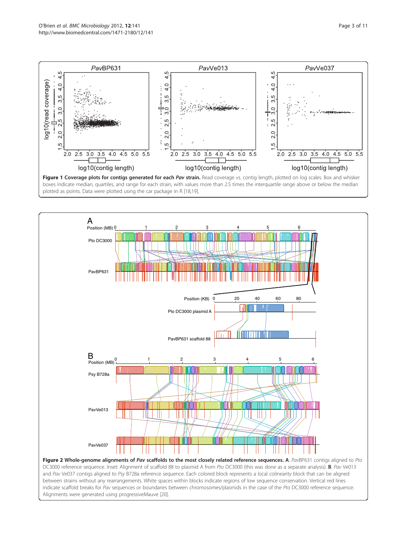<span id="page-2-0"></span>





DC3000 reference sequence. Inset: Alignment of scaffold 88 to plasmid A from Pto DC3000 (this was done as a separate analysis). **B**. Pav Ve013 and Pav Ve037 contigs aligned to Psy B728a reference sequence. Each colored block represents a local colinearity block that can be aligned between strains without any rearrangements. White spaces within blocks indicate regions of low sequence conservation. Vertical red lines indicate scaffold breaks for Pav sequences or boundaries between chromosomes/plasmids in the case of the Pto DC3000 reference sequence. Alignments were generated using progressiveMauve [\[20\]](#page-9-0).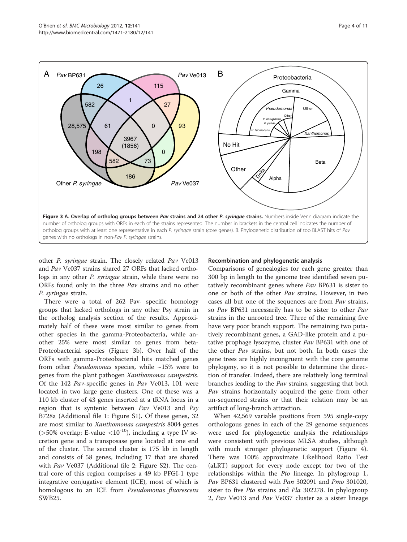<span id="page-3-0"></span>

other P. syringae strain. The closely related Pav Ve013 and Pav Ve037 strains shared 27 ORFs that lacked orthologs in any other P. syringae strain, while there were no ORFs found only in the three Pav strains and no other P. syringae strain.

There were a total of 262 Pav- specific homology groups that lacked orthologs in any other Psy strain in the ortholog analysis section of the results. Approximately half of these were most similar to genes from other species in the gamma-Proteobacteria, while another 25% were most similar to genes from beta-Proteobacterial species (Figure 3b). Over half of the ORFs with gamma-Proteobacterial hits matched genes from other *Pseudomonas* species, while  $\sim$ 15% were to genes from the plant pathogen Xanthomonas campestris. Of the 142 Pav-specific genes in Pav Ve013, 101 were located in two large gene clusters. One of these was a 110 kb cluster of 43 genes inserted at a tRNA locus in a region that is syntenic between  $Pav$  Ve013 and  $Psy$ B728a (Additional file [1](#page-9-0): Figure S1). Of these genes, 32 are most similar to Xanthomonas campestris 8004 genes ( $>50\%$  overlap; E-value  $<10^{-10}$ ), including a type IV secretion gene and a transposase gene located at one end of the cluster. The second cluster is 175 kb in length and consists of 58 genes, including 17 that are shared with *Pav* Ve037 (Additional file [2:](#page-9-0) Figure S2). The central core of this region comprises a 49 kb PFGI-1 type integrative conjugative element (ICE), most of which is homologous to an ICE from *Pseudomonas fluorescens* SWB25.

## Recombination and phylogenetic analysis

Comparisons of genealogies for each gene greater than 300 bp in length to the genome tree identified seven putatively recombinant genes where Pav BP631 is sister to one or both of the other Pav strains. However, in two cases all but one of the sequences are from Pav strains, so Pav BP631 necessarily has to be sister to other Pav strains in the unrooted tree. Three of the remaining five have very poor branch support. The remaining two putatively recombinant genes, a GAD-like protein and a putative prophage lysozyme, cluster Pav BP631 with one of the other Pav strains, but not both. In both cases the gene trees are highly incongruent with the core genome phylogeny, so it is not possible to determine the direction of transfer. Indeed, there are relatively long terminal branches leading to the Pav strains, suggesting that both Pav strains horizontally acquired the gene from other un-sequenced strains or that their relation may be an artifact of long-branch attraction.

When 42,569 variable positions from 595 single-copy orthologous genes in each of the 29 genome sequences were used for phylogenetic analysis the relationships were consistent with previous MLSA studies, although with much stronger phylogenetic support (Figure [4](#page-4-0)). There was 100% approximate Likelihood Ratio Test (aLRT) support for every node except for two of the relationships within the Pto lineage. In phylogroup 1, Pav BP631 clustered with Pan 302091 and Pmo 301020, sister to five *Pto* strains and *Pla* 302278. In phylogroup 2, Pav Ve013 and Pav Ve037 cluster as a sister lineage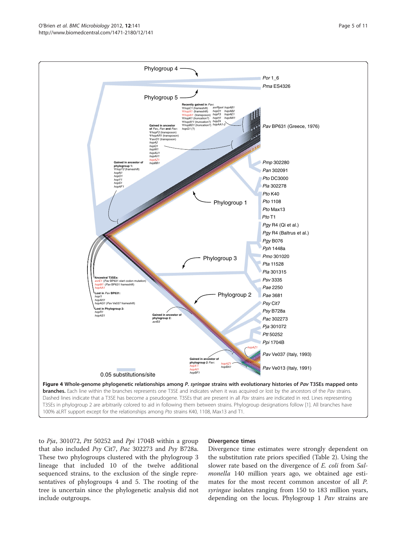to  $Pja$ , 301072, Ptt 50252 and Ppi 1704B within a group that also included Psy Cit7, Pac 302273 and Psy B728a. These two phylogroups clustered with the phylogroup 3 lineage that included 10 of the twelve additional sequenced strains, to the exclusion of the single representatives of phylogroups 4 and 5. The rooting of the tree is uncertain since the phylogenetic analysis did not include outgroups.

#### Divergence times

Divergence time estimates were strongly dependent on the substitution rate priors specified (Table [2\)](#page-5-0). Using the slower rate based on the divergence of *E. coli* from *Sal*monella 140 million years ago, we obtained age estimates for the most recent common ancestor of all P. syringae isolates ranging from 150 to 183 million years, depending on the locus. Phylogroup 1 Pav strains are

<span id="page-4-0"></span>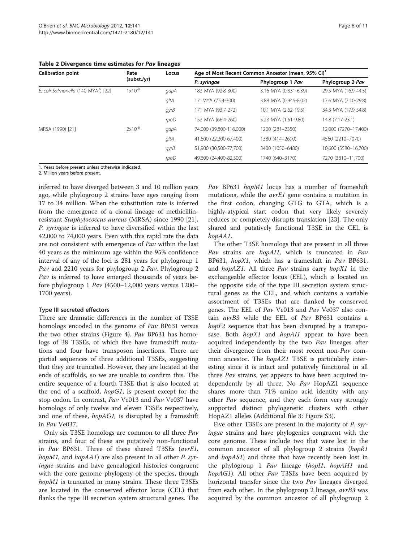<span id="page-5-0"></span>Table 2 Divergence time estimates for Pav lineages

| <b>Calibration point</b>                        | Rate<br>(subst./yr) | Locus | Age of Most Recent Common Ancestor (mean, 95% CI) <sup>1</sup> |                       |                      |  |
|-------------------------------------------------|---------------------|-------|----------------------------------------------------------------|-----------------------|----------------------|--|
|                                                 |                     |       | P. syringae                                                    | Phylogroup 1 Pav      | Phylogroup 2 Pav     |  |
| E. coli-Salmonella (140 MYA <sup>2</sup> ) [22] | $1x10^{-9}$         | gapA  | 183 MYA (92.8-300)                                             | 3.16 MYA (0.831-6.39) | 29.5 MYA (16.9-44.5) |  |
|                                                 |                     | gltA  | 171MYA (75.4-300)                                              | 3.88 MYA (0.945-8.02) | 17.6 MYA (7.10-29.8) |  |
|                                                 |                     | gyrB  | 171 MYA (93.7-272)                                             | 10.1 MYA (2.62-19.5)  | 34.3 MYA (17.9-54.8) |  |
|                                                 |                     | rpoD  | 153 MYA (66.4-260)                                             | 5.23 MYA (1.61-9.80)  | 14.8 (7.17-23.1)     |  |
| MRSA (1990) [21]                                | $2x10^{-6}$         | gapA  | 74,000 (39,800-116,000)                                        | 1200 (281-2350)       | 12,000 (7270-17,400) |  |
|                                                 |                     | gltA  | 41,600 (22,200-67,400)                                         | 1380 (414-2690)       | 4560 (2210-7070)     |  |
|                                                 |                     | gyrB  | 51,900 (30,500-77,700)                                         | 3400 (1050-6480)      | 10,600 (5580-16,700) |  |
|                                                 |                     | rpoD  | 49,600 (24,400-82,300)                                         | 1740 (640-3170)       | 7270 (3810-11.700)   |  |

1. Years before present unless otherwise indicated.

2. Million years before present.

inferred to have diverged between 3 and 10 million years ago, while phylogroup 2 strains have ages ranging from 17 to 34 million. When the substitution rate is inferred from the emergence of a clonal lineage of methicillinresistant Staphylococcus aureus (MRSA) since 1990 [\[21](#page-9-0)], P. syringae is inferred to have diversified within the last 42,000 to 74,000 years. Even with this rapid rate the data are not consistent with emergence of Pav within the last 40 years as the minimum age within the 95% confidence interval of any of the loci is 281 years for phylogroup 1 Pav and 2210 years for phylogroup 2 Pav. Phylogroup 2 Pav is inferred to have emerged thousands of years before phylogroup 1 Pav (4500–12,000 years versus 1200– 1700 years).

## Type III secreted effectors

There are dramatic differences in the number of T3SE homologs encoded in the genome of Pav BP631 versus the two other strains (Figure [4](#page-4-0)). Pav BP631 has homologs of 38 T3SEs, of which five have frameshift mutations and four have transposon insertions. There are partial sequences of three additional T3SEs, suggesting that they are truncated. However, they are located at the ends of scaffolds, so we are unable to confirm this. The entire sequence of a fourth T3SE that is also located at the end of a scaffold, hopG1, is present except for the stop codon. In contrast, Pav Ve013 and Pav Ve037 have homologs of only twelve and eleven T3SEs respectively, and one of these, *hopAG1*, is disrupted by a frameshift in Pav Ve037.

Only six T3SE homologs are common to all three Pav strains, and four of these are putatively non-functional in Pav BP631. Three of these shared T3SEs (avrE1, hopM1, and hopAA1) are also present in all other P. syringae strains and have genealogical histories congruent with the core genome phylogeny of the species, though hopM1 is truncated in many strains. These three T3SEs are located in the conserved effector locus (CEL) that flanks the type III secretion system structural genes. The Pav BP631 hopM1 locus has a number of frameshift mutations, while the *avrE1* gene contains a mutation in the first codon, changing GTG to GTA, which is a highly-atypical start codon that very likely severely reduces or completely disrupts translation [[23\]](#page-9-0). The only shared and putatively functional T3SE in the CEL is hopAA1.

The other T3SE homologs that are present in all three Pav strains are hopAI1, which is truncated in Pav BP631, hopX1, which has a frameshift in Pav BP631, and hopAZ1. All three Pav strains carry hopX1 in the exchangeable effector locus (EEL), which is located on the opposite side of the type III secretion system structural genes as the CEL, and which contains a variable assortment of T3SEs that are flanked by conserved genes. The EEL of Pav Ve013 and Pav Ve037 also contain avrB3 while the EEL of Pav BP631 contains a hopF2 sequence that has been disrupted by a transposase. Both *hopX1* and *hopAI1* appear to have been acquired independently by the two Pav lineages after their divergence from their most recent non-Pav common ancestor. The *hopAZ1* T3SE is particularly interesting since it is intact and putatively functional in all three Pav strains, yet appears to have been acquired independently by all three. No  $Pav$  HopAZ1 sequence shares more than 71% amino acid identity with any other *Pav* sequence, and they each form very strongly supported distinct phylogenetic clusters with other HopAZ1 alleles (Additional file [3](#page-9-0): Figure S3).

Five other T3SEs are present in the majority of *P. syr*ingae strains and have phylogenies congruent with the core genome. These include two that were lost in the common ancestor of all phylogroup 2 strains (hopR1 and *hopAS1*) and three that have recently been lost in the phylogroup 1 Pav lineage (hopI1, hopAH1 and hopAG1). All other Pav T3SEs have been acquired by horizontal transfer since the two Pav lineages diverged from each other. In the phylogroup 2 lineage, avrB3 was acquired by the common ancestor of all phylogroup 2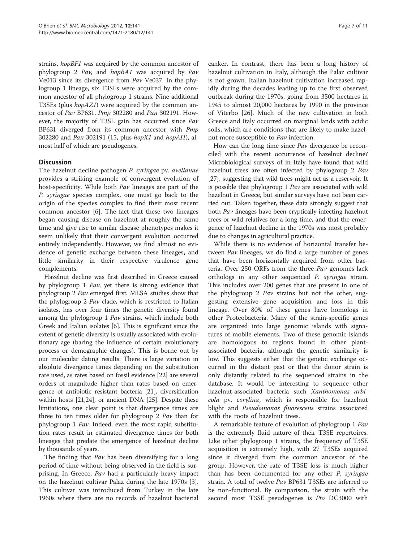strains, hopBF1 was acquired by the common ancestor of phylogroup 2 Pav, and hopBA1 was acquired by Pav Ve013 since its divergence from Pav Ve037. In the phylogroup 1 lineage, six T3SEs were acquired by the common ancestor of all phylogroup 1 strains. Nine additional T3SEs (plus hopAZ1) were acquired by the common ancestor of Pav BP631, Pmp 302280 and Pan 302191. However, the majority of T3SE gain has occurred since Pav BP631 diverged from its common ancestor with Pmp 302280 and Pan 302191 (15, plus hopX1 and hopAI1), almost half of which are pseudogenes.

## **Discussion**

The hazelnut decline pathogen P. syringae pv. avellanae provides a striking example of convergent evolution of host-specificity. While both Pav lineages are part of the P. syringae species complex, one must go back to the origin of the species complex to find their most recent common ancestor [\[6](#page-9-0)]. The fact that these two lineages began causing disease on hazelnut at roughly the same time and give rise to similar disease phenotypes makes it seem unlikely that their convergent evolution occurred entirely independently. However, we find almost no evidence of genetic exchange between these lineages, and little similarity in their respective virulence gene complements.

Hazelnut decline was first described in Greece caused by phylogroup 1 Pav, yet there is strong evidence that phylogroup 2 Pav emerged first. MLSA studies show that the phylogroup 2 Pav clade, which is restricted to Italian isolates, has over four times the genetic diversity found among the phylogroup 1 Pav strains, which include both Greek and Italian isolates [\[6](#page-9-0)]. This is significant since the extent of genetic diversity is usually associated with evolutionary age (baring the influence of certain evolutionary process or demographic changes). This is borne out by our molecular dating results. There is large variation in absolute divergence times depending on the substitution rate used, as rates based on fossil evidence [[22](#page-9-0)] are several orders of magnitude higher than rates based on emergence of antibiotic resistant bacteria [\[21](#page-9-0)], diversification within hosts [[21,24\]](#page-9-0), or ancient DNA [\[25](#page-10-0)]. Despite these limitations, one clear point is that divergence times are three to ten times older for phylogroup 2 Pav than for phylogroup 1 Pav. Indeed, even the most rapid substitution rates result in estimated divergence times for both lineages that predate the emergence of hazelnut decline by thousands of years.

The finding that  $Pav$  has been diversifying for a long period of time without being observed in the field is surprising. In Greece, Pav had a particularly heavy impact on the hazelnut cultivar Palaz during the late 1970s [\[3](#page-9-0)]. This cultivar was introduced from Turkey in the late 1960s where there are no records of hazelnut bacterial

canker. In contrast, there has been a long history of hazelnut cultivation in Italy, although the Palaz cultivar is not grown. Italian hazelnut cultivation increased rapidly during the decades leading up to the first observed outbreak during the 1970s, going from 3500 hectares in 1945 to almost 20,000 hectares by 1990 in the province of Viterbo [[26\]](#page-10-0). Much of the new cultivation in both Greece and Italy occurred on marginal lands with acidic soils, which are conditions that are likely to make hazelnut more susceptible to Pav infection.

How can the long time since *Pav* divergence be reconciled with the recent occurrence of hazelnut decline? Microbiological surveys of in Italy have found that wild hazelnut trees are often infected by phylogroup 2 Pav [[27](#page-10-0)], suggesting that wild trees might act as a reservoir. It is possible that phylogroup 1 Pav are associated with wild hazelnut in Greece, but similar surveys have not been carried out. Taken together, these data strongly suggest that both Pav lineages have been cryptically infecting hazelnut trees or wild relatives for a long time, and that the emergence of hazelnut decline in the 1970s was most probably due to changes in agricultural practice.

While there is no evidence of horizontal transfer between *Pav* lineages, we do find a large number of genes that have been horizontally acquired from other bacteria. Over 250 ORFs from the three Pav genomes lack orthologs in any other sequenced P. syringae strain. This includes over 200 genes that are present in one of the phylogroup 2 Pav strains but not the other, suggesting extensive gene acquisition and loss in this lineage. Over 80% of these genes have homologs in other Proteobacteria. Many of the strain-specific genes are organized into large genomic islands with signatures of mobile elements. Two of these genomic islands are homologous to regions found in other plantassociated bacteria, although the genetic similarity is low. This suggests either that the genetic exchange occurred in the distant past or that the donor strain is only distantly related to the sequenced strains in the database. It would be interesting to sequence other hazelnut-associated bacteria such Xanthomonas arbicola pv. corylina, which is responsible for hazelnut blight and *Pseudomonas fluorescens* strains associated with the roots of hazelnut trees.

A remarkable feature of evolution of phylogroup 1 Pav is the extremely fluid nature of their T3SE repertoires. Like other phylogroup 1 strains, the frequency of T3SE acquisition is extremely high, with 27 T3SEs acquired since it diverged from the common ancestor of the group. However, the rate of T3SE loss is much higher than has been documented for any other P. syringae strain. A total of twelve Pav BP631 T3SEs are inferred to be non-functional. By comparison, the strain with the second most T3SE pseudogenes is Pto DC3000 with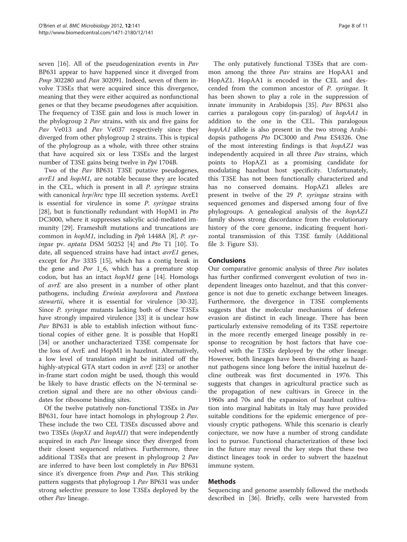seven [\[16](#page-9-0)]. All of the pseudogenization events in Pav BP631 appear to have happened since it diverged from Pmp 302280 and Pan 302091. Indeed, seven of them involve T3SEs that were acquired since this divergence, meaning that they were either acquired as nonfunctional genes or that they became pseudogenes after acquisition. The frequency of T3SE gain and loss is much lower in the phylogroup 2 Pav strains, with six and five gains for Pav Ve013 and Pav Ve037 respectively since they diverged from other phylogroup 2 strains. This is typical of the phylogroup as a whole, with three other strains that have acquired six or less T3SEs and the largest number of T3SE gains being twelve in Ppi 1704B.

Two of the Pav BP631 T3SE putative pseudogenes, avrE1 and hopM1, are notable because they are located in the CEL, which is present in all P. syringae strains with canonical hrp/hrc type III secretion systems. AvrE1 is essential for virulence in some P. syringae strains [[28\]](#page-10-0), but is functionally redundant with HopM1 in Pto DC3000, where it suppresses salicylic acid-mediated immunity [[29](#page-10-0)]. Frameshift mutations and truncations are common in hopM1, including in Pph 1448A [\[8](#page-9-0)], P. syringae pv. aptata DSM 50252 [[4](#page-9-0)] and Pto T1 [\[10\]](#page-9-0). To date, all sequenced strains have had intact avrE1 genes, except for Psv 3335 [\[15](#page-9-0)], which has a contig break in the gene and  $Por$  1\_6, which has a premature stop codon, but has an intact hopM1 gene [[14](#page-9-0)]. Homologs of avrE are also present in a number of other plant pathogens, including Erwinia amylovora and Pantoea stewartii, where it is essential for virulence [\[30-32](#page-10-0)]. Since P. syringae mutants lacking both of these T3SEs have strongly impaired virulence [\[33](#page-10-0)] it is unclear how Pav BP631 is able to establish infection without functional copies of either gene. It is possible that HopR1 [[34\]](#page-10-0) or another uncharacterized T3SE compensate for the loss of AvrE and HopM1 in hazelnut. Alternatively, a low level of translation might be initiated off the highly-atypical GTA start codon in *avrE* [\[23](#page-9-0)] or another in-frame start codon might be used, though this would be likely to have drastic effects on the N-terminal secretion signal and there are no other obvious candidates for ribosome binding sites.

Of the twelve putatively non-functional T3SEs in Pav BP631, four have intact homologs in phylogroup 2 Pav. These include the two CEL T3SEs discussed above and two T3SEs (hopX1 and hopAI1) that were independently acquired in each Pav lineage since they diverged from their closest sequenced relatives. Furthermore, three additional T3SEs that are present in phylogroup 2 Pav are inferred to have been lost completely in Pav BP631 since it's divergence from *Pmp* and *Pan*. This striking pattern suggests that phylogroup 1 Pav BP631 was under strong selective pressure to lose T3SEs deployed by the other Pav lineage.

The only putatively functional T3SEs that are common among the three Pav strains are HopAA1 and HopAZ1. HopAA1 is encoded in the CEL and descended from the common ancestor of P. syringae. It has been shown to play a role in the suppression of innate immunity in Arabidopsis [[35](#page-10-0)]. Pav BP631 also carries a paralogous copy (in-paralog) of hopAA1 in addition to the one in the CEL. This paralogous hopAA1 allele is also present in the two strong Arabidopsis pathogens Pto DC3000 and Pma ES4326. One of the most interesting findings is that hopAZ1 was independently acquired in all three Pav strains, which points to HopAZ1 as a promising candidate for modulating hazelnut host specificity. Unfortunately, this T3SE has not been functionally characterized and has no conserved domains. HopAZ1 alleles are present in twelve of the 29 P. syringae strains with sequenced genomes and dispersed among four of five phylogroups. A genealogical analysis of the hopAZ1 family shows strong discordance from the evolutionary history of the core genome, indicating frequent horizontal transmission of this T3SE family (Additional file [3](#page-9-0): Figure S3).

## Conclusions

Our comparative genomic analysis of three Pav isolates has further confirmed convergent evolution of two independent lineages onto hazelnut, and that this convergence is not due to genetic exchange between lineages. Furthermore, the divergence in T3SE complements suggests that the molecular mechanisms of defense evasion are distinct in each lineage. There has been particularly extensive remodeling of its T3SE repertoire in the more recently emerged lineage possibly in response to recognition by host factors that have coevolved with the T3SEs deployed by the other lineage. However, both lineages have been diversifying as hazelnut pathogens since long before the initial hazelnut decline outbreak was first documented in 1976. This suggests that changes in agricultural practice such as the propagation of new cultivars in Greece in the 1960s and 70s and the expansion of hazelnut cultivation into marginal habitats in Italy may have provided suitable conditions for the epidemic emergence of previously cryptic pathogens. While this scenario is clearly conjecture, we now have a number of strong candidate loci to pursue. Functional characterization of these loci in the future may reveal the key steps that these two distinct lineages took in order to subvert the hazelnut immune system.

## Methods

Sequencing and genome assembly followed the methods described in [\[36](#page-10-0)]. Briefly, cells were harvested from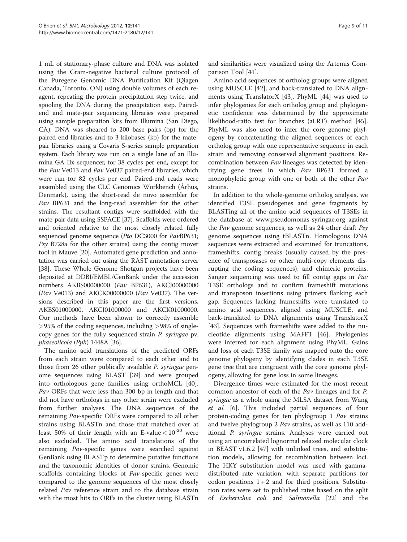1 mL of stationary-phase culture and DNA was isolated using the Gram-negative bacterial culture protocol of the Puregene Genomic DNA Purification Kit (Qiagen Canada, Toronto, ON) using double volumes of each reagent, repeating the protein precipitation step twice, and spooling the DNA during the precipitation step. Pairedend and mate-pair sequencing libraries were prepared using sample preparation kits from Illumina (San Diego, CA). DNA was sheared to 200 base pairs (bp) for the paired-end libraries and to 3 kilobases (kb) for the matepair libraries using a Covaris S-series sample preparation system. Each library was run on a single lane of an Illumina GA IIx sequencer, for 38 cycles per end, except for the Pav Ve013 and Pav Ve037 paired-end libraries, which were run for 82 cycles per end. Paired-end reads were assembled using the CLC Genomics Workbench (Århus, Denmark), using the short-read de novo assembler for Pav BP631 and the long-read assembler for the other strains. The resultant contigs were scaffolded with the mate-pair data using SSPACE [[37](#page-10-0)]. Scaffolds were ordered and oriented relative to the most closely related fully sequenced genome sequence (Pto DC3000 for PavBP631; Psy B728a for the other strains) using the contig mover tool in Mauve [[20\]](#page-9-0). Automated gene prediction and annotation was carried out using the RAST annotation server [[38](#page-10-0)]. These Whole Genome Shotgun projects have been deposited at DDBJ/EMBL/GenBank under the accession numbers AKBS00000000 (Pav BP631), AKCJ00000000 ( $Pav$  Ve013) and AKCK00000000 ( $Pav$  Ve037). The versions described in this paper are the first versions, AKBS01000000, AKCJ01000000 and AKCK01000000. Our methods have been shown to correctly assemble >95% of the coding sequences, including >98% of singlecopy genes for the fully sequenced strain P. syringae pv. phaseolicola (Pph) 1448A [\[36](#page-10-0)].

The amino acid translations of the predicted ORFs from each strain were compared to each other and to those from 26 other publically available P. syringae genome sequences using BLAST [[39\]](#page-10-0) and were grouped into orthologous gene families using orthoMCL [\[40](#page-10-0)]. Pav ORFs that were less than 300 bp in length and that did not have orthologs in any other strain were excluded from further analyses. The DNA sequences of the remaining Pav-specific ORFs were compared to all other strains using BLASTn and those that matched over at least 50% of their length with an E-value  $< 10^{-20}$  were also excluded. The amino acid translations of the remaining Pav-specific genes were searched against GenBank using BLASTp to determine putative functions and the taxonomic identities of donor strains. Genomic scaffolds containing blocks of Pav-specific genes were compared to the genome sequences of the most closely related Pav reference strain and to the database strain with the most hits to ORFs in the cluster using BLASTn

and similarities were visualized using the Artemis Comparison Tool [\[41](#page-10-0)].

Amino acid sequences of ortholog groups were aligned using MUSCLE [[42](#page-10-0)], and back-translated to DNA alignments using TranslatorX [[43\]](#page-10-0). PhyML [[44\]](#page-10-0) was used to infer phylogenies for each ortholog group and phylogenetic confidence was determined by the approximate likelihood-ratio test for branches (aLRT) method [\[45](#page-10-0)]. PhyML was also used to infer the core genome phylogeny by concatenating the aligned sequences of each ortholog group with one representative sequence in each strain and removing conserved alignment positions. Recombination between Pav lineages was detected by identifying gene trees in which Pav BP631 formed a monophyletic group with one or both of the other Pav strains.

In addition to the whole-genome ortholog analysis, we identified T3SE pseudogenes and gene fragments by BLASTing all of the amino acid sequences of T3SEs in the database at [www.pseudomonas-syringae.org](http://www.pseudomonas-syringae.org) against the Pav genome sequences, as well as 24 other draft Psy genome sequences using tBLASTn. Homologous DNA sequences were extracted and examined for truncations, frameshifts, contig breaks (usually caused by the presence of transposases or other multi-copy elements disrupting the coding sequences), and chimeric proteins. Sanger sequencing was used to fill contig gaps in Pav T3SE orthologs and to confirm frameshift mutations and transposon insertions using primers flanking each gap. Sequences lacking frameshifts were translated to amino acid sequences, aligned using MUSCLE, and back-translated to DNA alignments using TranslatorX [[43\]](#page-10-0). Sequences with frameshifts were added to the nucleotide alignments using MAFFT [\[46\]](#page-10-0). Phylogenies were inferred for each alignment using PhyML. Gains and loss of each T3SE family was mapped onto the core genome phylogeny by identifying clades in each T3SE gene tree that are congruent with the core genome phylogeny, allowing for gene loss in some lineages.

Divergence times were estimated for the most recent common ancestor of each of the Pav lineages and for P. syringae as a whole using the MLSA dataset from Wang et al. [[6\]](#page-9-0). This included partial sequences of four protein-coding genes for ten phylogroup 1 Pav strains and twelve phylogroup 2 Pav strains, as well as 110 additional P. syringae strains. Analyses were carried out using an uncorrelated lognormal relaxed molecular clock in BEAST v1.6.2 [\[47](#page-10-0)] with unlinked trees, and substitution models, allowing for recombination between loci. The HKY substitution model was used with gammadistributed rate variation, with separate partitions for codon positions  $1+2$  and for third positions. Substitution rates were set to published rates based on the split of Escherichia coli and Salmonella [\[22](#page-9-0)] and the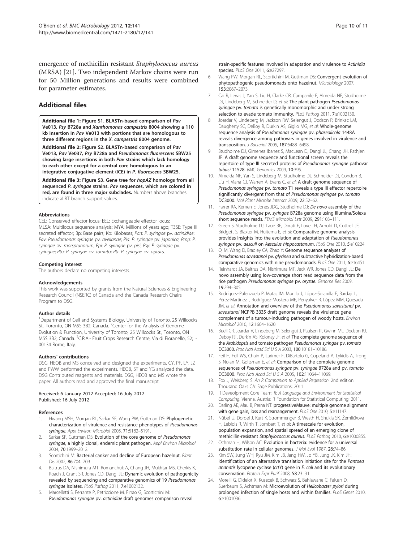<span id="page-9-0"></span>emergence of methicillin resistant Staphylococcus aureus (MRSA) [21]. Two independent Markov chains were run for 50 Million generations and results were combined for parameter estimates.

## Additional files

[Additional file 1](http://www.biomedcentral.com/content/supplementary/1471-2180-12-141-S1.pdf): Figure S1. BLASTn-based comparison of Pav Ve013, Psy B728a and Xanthomonas campestris 8004 showing a 110 kb insertion in Pav Ve013 with portions that are homologous to three different regions in the X. campestris 8004 genome.

[Additional file 2](http://www.biomedcentral.com/content/supplementary/1471-2180-12-141-S2.pdf): Figure S2. BLASTn-based comparison of Pav Ve013, Pav Ve037, Psy B728a and Pseudomonas fluorescens SBW25 showing large insertions in both Pav strains which lack homology to each other except for a central core homologous to an integrative conjugative element (ICE) in P. fluorescens SBW25.

[Additional file 3](http://www.biomedcentral.com/content/supplementary/1471-2180-12-141-S3.pdf): Figure S3. Gene tree for hopAZ homologs from all sequenced P. syringae strains. Pav sequences, which are colored in red, are found in three major subclades. Numbers above branches indicate aLRT branch support values.

#### Abbreviations

CEL: Conserved effector locus; EEL: Exchangeable effector locus; MLSA: Multilocus sequence analysis; MYA: Millions of years ago; T3SE: Type III secreted effector; Bp: Base pairs; Kb: Kilobases; Pan: P. syringae pv. actinidiae; Pav: Pseudomonas syringae pv. avellanae; Pja: P. syringae pv. japonica; Pmp: P. syringae pv. morsprunorum; Ppi: P. syringae pv. pisi; Psy: P. syringae pv. syringae; Pto: P. syringae pv. tomato; Ptt: P. syringae pv. aptata.

#### Competing interest

The authors declare no competing interests.

#### Acknowledgements

This work was supported by grants from the Natural Sciences & Engineering Research Council (NSERC) of Canada and the Canada Research Chairs Program to DSG.

#### Author details

<sup>1</sup>Department of Cell and Systems Biology, University of Toronto, 25 Willcocks St., Toronto, ON M5S 3B2, Canada. <sup>2</sup>Center for the Analysis of Genome Evolution & Function, University of Toronto, 25 Willcocks St., Toronto, ON M5S 3B2, Canada. <sup>3</sup>C.R.A.- Fruit Crops Research Centre, Via di Fioranello, 52; I-00134 Rome, Italy.

#### Authors' contributions

DSG, HEOB and MS conceived and designed the experiments. CY, PF, LY, JZ and PWW performed the experiments. HEOB, ST and YG analyzed the data. DSG Contributed reagents and materials. DSG, HEOB and MS wrote the paper. All authors read and approved the final manuscript.

#### Received: 6 January 2012 Accepted: 16 July 2012 Published: 16 July 2012

#### References

- 1. Hwang MSH, Morgan RL, Sarkar SF, Wang PW, Guttman DS: Phylogenetic characterization of virulence and resistance phenotypes of Pseudomonas syringae. Appl Environ Microbiol 2005, 71:5182–5191.
- Sarkar SF, Guttman DS: Evolution of the core genome of Pseudomonas syringae, a highly clonal, endemic plant pathogen. Appl Environ Microbiol 2004, 70:1999–2012.
- 3. Scortichini M: Bacterial canker and decline of European hazelnut. Plant Dis 2002, 86:704–709.
- Baltrus DA, Nishimura MT, Romanchuk A, Chang JH, Mukhtar MS, Cherkis K, Roach J, Grant SR, Jones CD, Dangl JL: Dynamic evolution of pathogenicity revealed by sequencing and comparative genomics of 19 Pseudomonas syringae isolates. PLoS Pathog 2011, 7:e1002132.
- 5. Marcelletti S, Ferrante P, Petriccione M, Firrao G, Scortichini M: Pseudomonas syringae pv. actinidiae draft genomes comparison reveal

strain-specific features involved in adaptation and virulence to Actinidia species. PLoS One 2011, 6:e27297.

- 6. Wang PW, Morgan RL, Scortichini M, Guttman DS: Convergent evolution of phytopathogenic pseudomonads onto hazelnut. Microbiology 2007, 153:2067–2073.
- 7. Cai R, Lewis J, Yan S, Liu H, Clarke CR, Campanile F, Almeida NF, Studholme DJ, Lindeberg M, Schneider D, et al: The plant pathogen Pseudomonas syringae pv. tomato is genetically monomorphic and under strong selection to evade tomato immunity. PLoS Pathog 2011, 7:e1002130.
- 8. Joardar V, Lindeberg M, Jackson RW, Selengut J, Dodson R, Brinkac LM, Daugherty SC, DeBoy R, Durkin AS, Giglio MG, et al: Whole-genome sequence analysis of Pseudomonas syringae pv. phaseolicola 1448A reveals divergence among pathovars in genes involved in virulence and transposition. J Bacteriol 2005, 187:6488–6498.
- 9. Studholme DJ, Gimenez Ibanez S, MacLean D, Dangl JL, Chang JH, Rathjen JP: A draft genome sequence and functional screen reveals the repertoire of type III secreted proteins of Pseudonomas syringae pathovar tabaci 11528. BMC Genomics 2009, 10:395.
- 10. Almeida NF, Yan S, Lindeberg M, Studholme DJ, Schneider DJ, Condon B, Liu H, Viana CJ, Warren A, Evans C, et al: A draft genome sequence of Pseudomonas syringae pv. tomato T1 reveals a type III effector repertoire significantly divergent from that of Pseudomonas syringae pv. tomato DC3000. Mol Plant Microbe Interact 2009, 22:52–62.
- 11. Farrer RA, Kemen E, Jones JDG, Studholme DJ: De novo assembly of the Pseudomonas syringae pv. syringae B728a genome using Illumina/Solexa short sequence reads. FEMS Microbiol Lett 2009, 291:103–111.
- 12. Green S, Studholme DJ, Laue BE, Dorati F, Lovell H, Arnold D, Cottrell JE, Bridgett S, Blaxter M, Huitema E, et al: Comparative genome analysis provides insights into the evolution and adaptation of Pseudomonas syringae pv. aesculi on Aesculus hippocastanum. PLoS One 2010, 5:e10224.
- 13. Qi M, Wang D, Bradley CA, Zhao Y: Genome sequence analyses of Pseudomonas savastanoi pv. glycinea and subtractive hybridization-based comparative genomics with nine pseudomonads. PLoS One 2011, 6:e16451.
- 14. Reinhardt JA, Baltrus DA, Nishimura MT, Jeck WR, Jones CD, Dangl JL: De novo assembly using low-coverage short read sequence data from the rice pathogen Pseudomonas syringae pv. oryzae. Genome Res 2009, 19:294–305.
- 15. Rodríguez-Palenzuela P, Matas IM, Murillo J, López-Solanilla E, Bardaji L, Pérez-Martínez I, Rodríguez-Moskera ME, Penyalver R, López MM, Quesada JM, et al: Annotation and overview of the Pseudomonas savastanoi pv. savastanoi NCPPB 3335 draft genome reveals the virulence gene complement of a tumour-inducing pathogen of woody hosts. Environ Microbiol 2010, 12:1604–1620.
- 16. Buell CR, Joardar V, Lindeberg M, Selengut J, Paulsen IT, Gwinn ML, Dodson RJ, Deboy RT, Durkin AS, Kolonay JF, et al: The complete genome sequence of the Arabidopsis and tomato pathogen Pseudomonas syringae pv. tomato DC3000. Proc Natl Acad Sci U S A 2003, 100:10181–10186.
- 17. Feil H, Feil WS, Chain P, Larimer F, DiBartolo G, Copeland A, Lykidis A, Trong S, Nolan M, Goltsman E, et al: Comparison of the complete genome sequences of Pseudomonas syringae pv. syringae B728a and pv. tomato DC3000. Proc Natl Acad Sci U S A 2005, 102:11064–11069.
- 18. Fox J, Weisberg S: An R Companion to Applied Regression. 2nd edition. Thousand Oaks CA: Sage Publications; 2011.
- 19. R Deveolpment Core Team: R: A Language and Environment for Statistical Computing. Vienna, Austria: R Foundation for Statistical Computing; 2011.
- 20. Darling AE, Mau B, Perna NT: progressiveMauve: multiple genome alignment with gene gain, loss and rearrangement. PLoS One 2010, 5:e11147
- 21. Nübel U, Dordel J, Kurt K, Strommenger B, Westh H, Shukla SK, Žemličková H, Leblois R, Wirth T, Jombart T, et al: A timescale for evolution, population expansion, and spatial spread of an emerging clone of methicillin-resistant Staphylococcus aureus. PLoS Pathog 2010, 6:e1000855.
- 22. Ochman H, Wilson AC: Evolution in bacteria: evidence for a universal substitution rate in cellular genomes. J Mol Evol 1987, 26:74-86.
- 23. Kim SW, Jung WH, Ryu JM, Kim JB, Jang HW, Jo YB, Jung JK, Kim JH: Identification of an alternative translation initiation site for the Pantoea ananatis lycopene cyclase (crtY) gene in E. coli and its evolutionary conservation. Protein Expr Purif 2008, 58:23–31.
- 24. Morelli G, Didelot X, Kusecek B, Schwarz S, Bahlawane C, Falush D, Suerbaum S, Achtman M: Microevolution of Helicobacter pylori during prolonged infection of single hosts and within families. PLoS Genet 2010, 6:e1001036.